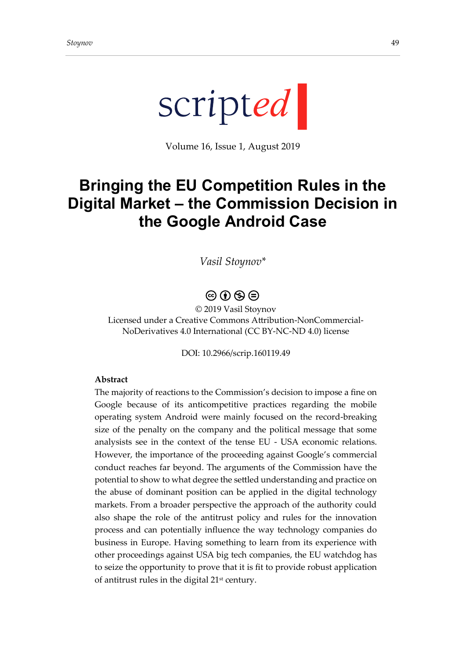

Volume 16, Issue 1, August 2019

# **Bringing the EU Competition Rules in the Digital Market – the Commission Decision in the Google Android Case**

*Vasil Stoynov\**

## $\circledcirc$   $\bullet$   $\circledcirc$

© 2019 Vasil Stoynov Licensed under a Creative Commons Attribution-NonCommercial-NoDerivatives 4.0 International (CC BY-NC-ND 4.0) license

DOI: 10.2966/scrip.160119.49

#### **Abstract**

The majority of reactions to the Commission's decision to impose a fine on Google because of its anticompetitive practices regarding the mobile operating system Android were mainly focused on the record-breaking size of the penalty on the company and the political message that some analysists see in the context of the tense EU - USA economic relations. However, the importance of the proceeding against Google's commercial conduct reaches far beyond. The arguments of the Commission have the potential to show to what degree the settled understanding and practice on the abuse of dominant position can be applied in the digital technology markets. From a broader perspective the approach of the authority could also shape the role of the antitrust policy and rules for the innovation process and can potentially influence the way technology companies do business in Europe. Having something to learn from its experience with other proceedings against USA big tech companies, the EU watchdog has to seize the opportunity to prove that it is fit to provide robust application of antitrust rules in the digital 21<sup>st</sup> century.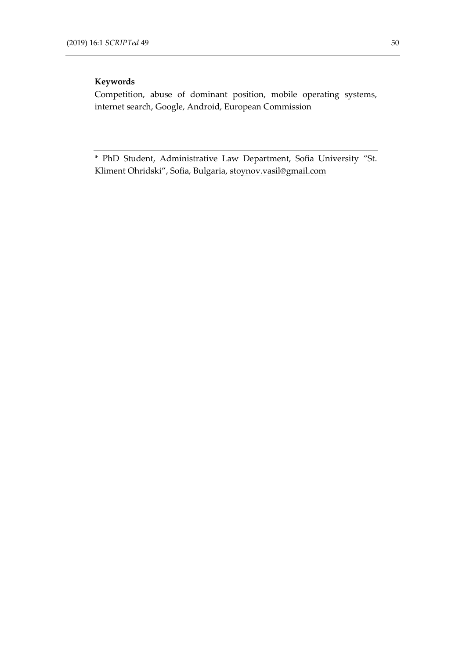#### **Keywords**

Competition, abuse of dominant position, mobile operating systems, internet search, Google, Android, European Commission

\* PhD Student, Administrative Law Department, Sofia University "St. Kliment Ohridski", Sofia, Bulgaria[, stoynov.vasil@gmail.com](mailto:stoynov.vasil@gmail.com)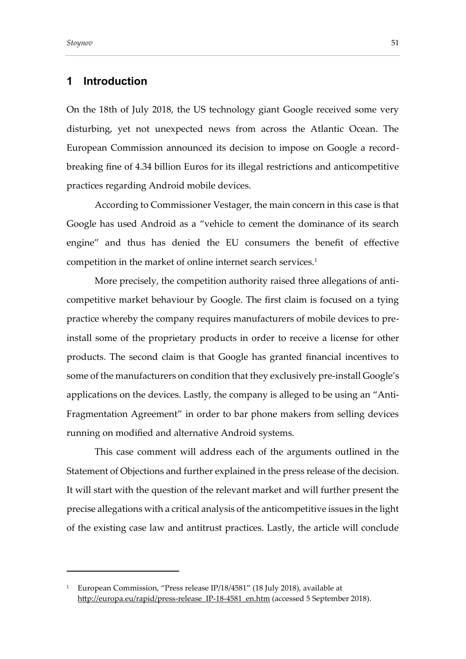### **1 Introduction**

On the 18th of July 2018, the US technology giant Google received some very disturbing, yet not unexpected news from across the Atlantic Ocean. The European Commission announced its decision to impose on Google a recordbreaking fine of 4.34 billion Euros for its illegal restrictions and anticompetitive practices regarding Android mobile devices.

According to Commissioner Vestager, the main concern in this case is that Google has used Android as a "vehicle to cement the dominance of its search engine" and thus has denied the EU consumers the benefit of effective competition in the market of online internet search services. 1

More precisely, the competition authority raised three allegations of anticompetitive market behaviour by Google. The first claim is focused on a tying practice whereby the company requires manufacturers of mobile devices to preinstall some of the proprietary products in order to receive a license for other products. The second claim is that Google has granted financial incentives to some of the manufacturers on condition that they exclusively pre-install Google's applications on the devices. Lastly, the company is alleged to be using an "Anti-Fragmentation Agreement" in order to bar phone makers from selling devices running on modified and alternative Android systems.

This case comment will address each of the arguments outlined in the Statement of Objections and further explained in the press release of the decision. It will start with the question of the relevant market and will further present the precise allegations with a critical analysis of the anticompetitive issues in the light of the existing case law and antitrust practices. Lastly, the article will conclude

<sup>&</sup>lt;sup>1</sup> European Commission, "Press release IP/18/4581" (18 July 2018), available at [http://europa.eu/rapid/press-release\\_IP-18-4581\\_en.htm](http://europa.eu/rapid/press-release_IP-18-4581_en.htm) (accessed 5 September 2018).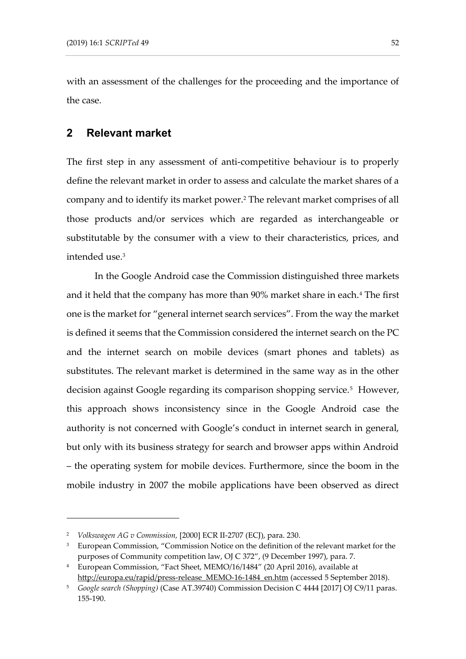with an assessment of the challenges for the proceeding and the importance of the case.

## **2 Relevant market**

The first step in any assessment of anti-competitive behaviour is to properly define the relevant market in order to assess and calculate the market shares of a company and to identify its market power.<sup>2</sup> The relevant market comprises of all those products and/or services which are regarded as interchangeable or substitutable by the consumer with a view to their characteristics, prices, and intended use.<sup>3</sup>

In the Google Android case the Commission distinguished three markets and it held that the company has more than 90% market share in each.<sup>4</sup> The first one is the market for "general internet search services". From the way the market is defined it seems that the Commission considered the internet search on the PC and the internet search on mobile devices (smart phones and tablets) as substitutes. The relevant market is determined in the same way as in the other decision against Google regarding its comparison shopping service.<sup>5</sup> However, this approach shows inconsistency since in the Google Android case the authority is not concerned with Google's conduct in internet search in general, but only with its business strategy for search and browser apps within Android – the operating system for mobile devices. Furthermore, since the boom in the mobile industry in 2007 the mobile applications have been observed as direct

<sup>2</sup> *Volkswagen AG v Commission,* [2000] ECR II-2707 (ECJ), para. 230.

<sup>&</sup>lt;sup>3</sup> European Commission, "Commission Notice on the definition of the relevant market for the purposes of Community competition law, OJ C 372", (9 December 1997), para. 7.

<sup>4</sup> European Commission, "Fact Sheet, MEMO/16/1484" (20 April 2016), available at [http://europa.eu/rapid/press-release\\_MEMO-16-1484\\_en.htm](http://europa.eu/rapid/press-release_MEMO-16-1484_en.htm) (accessed 5 September 2018).

<sup>5</sup> *Google search (Shopping)* (Case AT.39740) Commission Decision C 4444 [2017] OJ C9/11 paras. 155-190.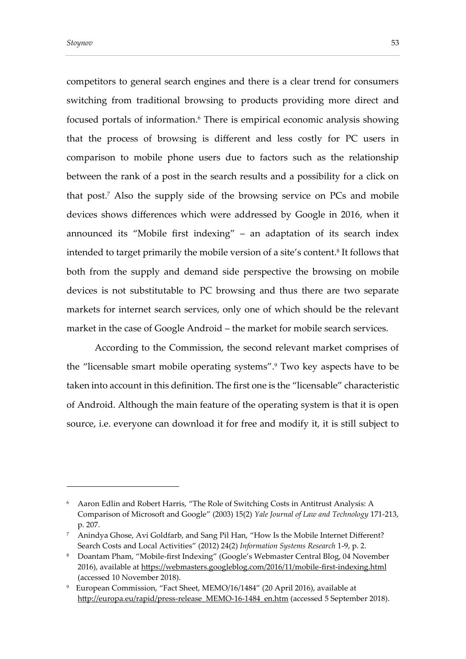competitors to general search engines and there is a clear trend for consumers switching from traditional browsing to products providing more direct and focused portals of information.<sup>6</sup> There is empirical economic analysis showing that the process of browsing is different and less costly for PC users in comparison to mobile phone users due to factors such as the relationship between the rank of a post in the search results and a possibility for a click on that post.<sup>7</sup> Also the supply side of the browsing service on PCs and mobile devices shows differences which were addressed by Google in 2016, when it announced its "Mobile first indexing" – an adaptation of its search index intended to target primarily the mobile version of a site's content. 8 It follows that both from the supply and demand side perspective the browsing on mobile devices is not substitutable to PC browsing and thus there are two separate markets for internet search services, only one of which should be the relevant market in the case of Google Android – the market for mobile search services.

According to the Commission, the second relevant market comprises of the "licensable smart mobile operating systems".<sup>9</sup> Two key aspects have to be taken into account in this definition. The first one is the "licensable" characteristic of Android. Although the main feature of the operating system is that it is open source, i.e. everyone can download it for free and modify it, it is still subject to

<sup>6</sup> Aaron Edlin and Robert Harris, "The Role of Switching Costs in Antitrust Analysis: A Comparison of Microsoft and Google" (2003) 15(2) *Yale Journal of Law and Technology* 171-213, p. 207.

<sup>7</sup> Anindya Ghose, Avi Goldfarb, and Sang Pil Han, "How Is the Mobile Internet Different? Search Costs and Local Activities" (2012) 24(2) *Information Systems Research* 1-9, p. 2.

<sup>8</sup> Doantam Pham, "Mobile-first Indexing" (Google's Webmaster Central Blog, 04 November 2016), available at<https://webmasters.googleblog.com/2016/11/mobile-first-indexing.html> (accessed 10 November 2018).

<sup>9</sup> European Commission, "Fact Sheet, MEMO/16/1484" (20 April 2016), available at [http://europa.eu/rapid/press-release\\_MEMO-16-1484\\_en.htm](http://europa.eu/rapid/press-release_MEMO-16-1484_en.htm) (accessed 5 September 2018).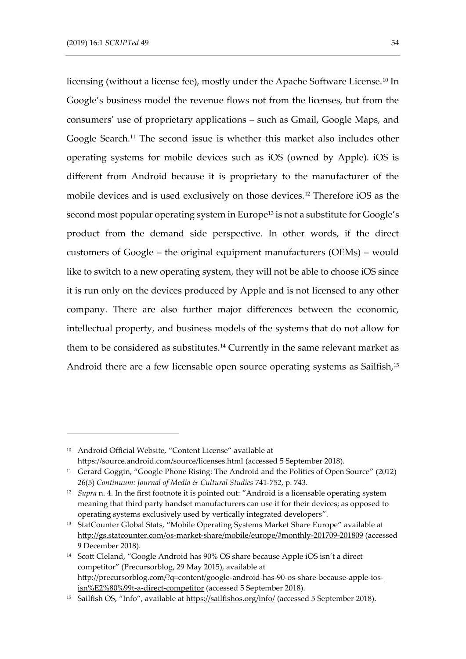licensing (without a license fee), mostly under the Apache Software License.<sup>10</sup> In Google's business model the revenue flows not from the licenses, but from the consumers' use of proprietary applications – such as Gmail, Google Maps, and Google Search.<sup>11</sup> The second issue is whether this market also includes other operating systems for mobile devices such as iOS (owned by Apple). iOS is different from Android because it is proprietary to the manufacturer of the mobile devices and is used exclusively on those devices.<sup>12</sup> Therefore iOS as the second most popular operating system in Europe<sup>13</sup> is not a substitute for Google's product from the demand side perspective. In other words, if the direct customers of Google – the original equipment manufacturers (OEMs) – would like to switch to a new operating system, they will not be able to choose iOS since it is run only on the devices produced by Apple and is not licensed to any other company. There are also further major differences between the economic, intellectual property, and business models of the systems that do not allow for them to be considered as substitutes.<sup>14</sup> Currently in the same relevant market as Android there are a few licensable open source operating systems as Sailfish,<sup>15</sup>

<sup>10</sup> Android Official Website, "Content License" available at <https://source.android.com/source/licenses.html> (accessed 5 September 2018).

<sup>&</sup>lt;sup>11</sup> Gerard Goggin, "Google Phone Rising: The Android and the Politics of Open Source" (2012) 26(5) *Continuum: Journal of Media & Cultural Studies* 741-752, p. 743.

<sup>&</sup>lt;sup>12</sup> *Supra* n. 4. In the first footnote it is pointed out: "Android is a licensable operating system meaning that third party handset manufacturers can use it for their devices; as opposed to operating systems exclusively used by vertically integrated developers".

<sup>&</sup>lt;sup>13</sup> StatCounter Global Stats, "Mobile Operating Systems Market Share Europe" available at <http://gs.statcounter.com/os-market-share/mobile/europe/#monthly-201709-201809> (accessed 9 December 2018).

<sup>14</sup> Scott Cleland, "Google Android has 90% OS share because Apple iOS isn't a direct competitor" (Precursorblog, 29 May 2015), available at [http://precursorblog.com/?q=content/google-android-has-90-os-share-because-apple-ios](http://precursorblog.com/?q=content/google-android-has-90-os-share-because-apple-ios-isn%E2%80%99t-a-direct-competitor)[isn%E2%80%99t-a-direct-competitor](http://precursorblog.com/?q=content/google-android-has-90-os-share-because-apple-ios-isn%E2%80%99t-a-direct-competitor) (accessed 5 September 2018).

<sup>15</sup> Sailfish OS, "Info", available at<https://sailfishos.org/info/> (accessed 5 September 2018).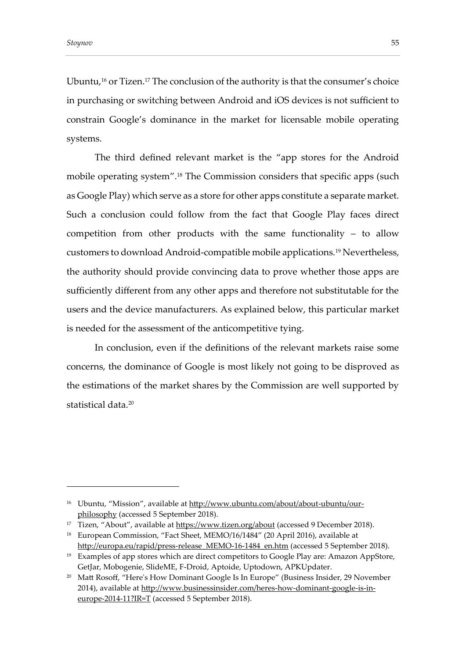Ubuntu,<sup>16</sup> or Tizen.<sup>17</sup> The conclusion of the authority is that the consumer's choice in purchasing or switching between Android and iOS devices is not sufficient to constrain Google's dominance in the market for licensable mobile operating systems.

The third defined relevant market is the "app stores for the Android mobile operating system".<sup>18</sup> The Commission considers that specific apps (such as Google Play) which serve as a store for other apps constitute a separate market. Such a conclusion could follow from the fact that Google Play faces direct competition from other products with the same functionality – to allow customers to download Android-compatible mobile applications.<sup>19</sup> Nevertheless, the authority should provide convincing data to prove whether those apps are sufficiently different from any other apps and therefore not substitutable for the users and the device manufacturers. As explained below, this particular market is needed for the assessment of the anticompetitive tying.

In conclusion, even if the definitions of the relevant markets raise some concerns, the dominance of Google is most likely not going to be disproved as the estimations of the market shares by the Commission are well supported by statistical data.<sup>20</sup>

<sup>&</sup>lt;sup>16</sup> Ubuntu, "Mission", available a[t http://www.ubuntu.com/about/about-ubuntu/our](http://www.ubuntu.com/about/about-ubuntu/our-philosophy)[philosophy](http://www.ubuntu.com/about/about-ubuntu/our-philosophy) (accessed 5 September 2018).

<sup>&</sup>lt;sup>17</sup> Tizen, "About", available at<https://www.tizen.org/about> (accessed 9 December 2018).

<sup>18</sup> European Commission, "Fact Sheet, MEMO/16/1484" (20 April 2016), available at [http://europa.eu/rapid/press-release\\_MEMO-16-1484\\_en.htm](http://europa.eu/rapid/press-release_MEMO-16-1484_en.htm) (accessed 5 September 2018).

<sup>&</sup>lt;sup>19</sup> Examples of app stores which are direct competitors to Google Play are: Amazon AppStore, GetJar, Mobogenie, SlideME, F-Droid, Aptoide, Uptodown, APKUpdater.

<sup>&</sup>lt;sup>20</sup> Matt Rosoff, "Here's How Dominant Google Is In Europe" (Business Insider, 29 November 2014), available at [http://www.businessinsider.com/heres-how-dominant-google-is-in](http://www.businessinsider.com/heres-how-dominant-google-is-in-europe-2014-11?IR=T)[europe-2014-11?IR=T](http://www.businessinsider.com/heres-how-dominant-google-is-in-europe-2014-11?IR=T) (accessed 5 September 2018).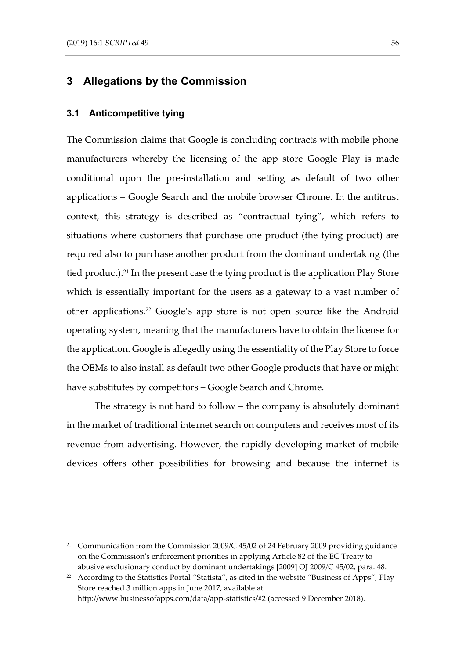## **3 Allegations by the Commission**

#### **3.1 Anticompetitive tying**

The Commission claims that Google is concluding contracts with mobile phone manufacturers whereby the licensing of the app store Google Play is made conditional upon the pre-installation and setting as default of two other applications – Google Search and the mobile browser Chrome. In the antitrust context, this strategy is described as "contractual tying", which refers to situations where customers that purchase one product (the tying product) are required also to purchase another product from the dominant undertaking (the tied product).<sup>21</sup> In the present case the tying product is the application Play Store which is essentially important for the users as a gateway to a vast number of other applications.<sup>22</sup> Google's app store is not open source like the Android operating system, meaning that the manufacturers have to obtain the license for the application. Google is allegedly using the essentiality of the Play Store to force the OEMs to also install as default two other Google products that have or might have substitutes by competitors – Google Search and Chrome.

The strategy is not hard to follow – the company is absolutely dominant in the market of traditional internet search on computers and receives most of its revenue from advertising. However, the rapidly developing market of mobile devices offers other possibilities for browsing and because the internet is

<sup>&</sup>lt;sup>21</sup> Communication from the Commission 2009/C  $45/02$  of 24 February 2009 providing guidance on the Commission's enforcement priorities in applying Article 82 of the EC Treaty to abusive exclusionary conduct by dominant undertakings [2009] OJ 2009/C 45/02, para. 48.

<sup>&</sup>lt;sup>22</sup> According to the Statistics Portal "Statista", as cited in the website "Business of Apps", Play Store reached 3 million apps in June 2017, available at <http://www.businessofapps.com/data/app-statistics/#2> (accessed 9 December 2018).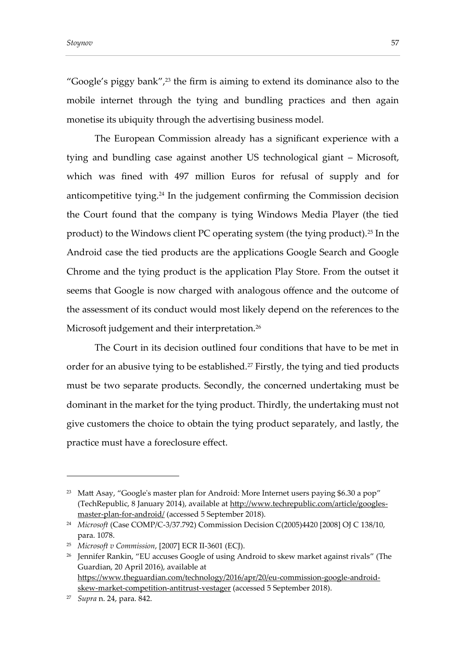"Google's piggy bank", $23$  the firm is aiming to extend its dominance also to the mobile internet through the tying and bundling practices and then again

The European Commission already has a significant experience with a tying and bundling case against another US technological giant – Microsoft, which was fined with 497 million Euros for refusal of supply and for anticompetitive tying.<sup>24</sup> In the judgement confirming the Commission decision the Court found that the company is tying Windows Media Player (the tied product) to the Windows client PC operating system (the tying product).<sup>25</sup> In the Android case the tied products are the applications Google Search and Google Chrome and the tying product is the application Play Store. From the outset it seems that Google is now charged with analogous offence and the outcome of the assessment of its conduct would most likely depend on the references to the Microsoft judgement and their interpretation.<sup>26</sup>

monetise its ubiquity through the advertising business model.

The Court in its decision outlined four conditions that have to be met in order for an abusive tying to be established.<sup>27</sup> Firstly, the tying and tied products must be two separate products. Secondly, the concerned undertaking must be dominant in the market for the tying product. Thirdly, the undertaking must not give customers the choice to obtain the tying product separately, and lastly, the practice must have a foreclosure effect.

<sup>&</sup>lt;sup>23</sup> Matt Asay, "Google's master plan for Android: More Internet users paying \$6.30 a pop" (TechRepublic, 8 January 2014), available at [http://www.techrepublic.com/article/googles](http://www.techrepublic.com/article/googles-master-plan-for-android/)[master-plan-for-android/](http://www.techrepublic.com/article/googles-master-plan-for-android/) (accessed 5 September 2018).

<sup>24</sup> *Microsoft* (Case COMP/C-3/37.792) Commission Decision C(2005)4420 [2008] OJ C 138/10, para. 1078.

<sup>25</sup> *Microsoft v Commission*, [2007] ECR II-3601 (ECJ).

<sup>&</sup>lt;sup>26</sup> Jennifer Rankin, "EU accuses Google of using Android to skew market against rivals" (The Guardian, 20 April 2016), available at [https://www.theguardian.com/technology/2016/apr/20/eu-commission-google-android](https://www.theguardian.com/technology/2016/apr/20/eu-commission-google-android-skew-market-competition-antitrust-vestager)[skew-market-competition-antitrust-vestager](https://www.theguardian.com/technology/2016/apr/20/eu-commission-google-android-skew-market-competition-antitrust-vestager) (accessed 5 September 2018).

<sup>27</sup> *Supra* n. 24, para. 842.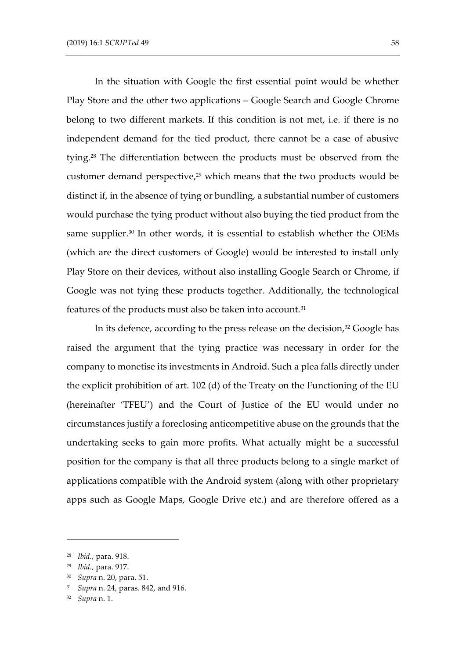In the situation with Google the first essential point would be whether Play Store and the other two applications – Google Search and Google Chrome belong to two different markets. If this condition is not met, i.e. if there is no independent demand for the tied product, there cannot be a case of abusive tying.<sup>28</sup> The differentiation between the products must be observed from the customer demand perspective,<sup>29</sup> which means that the two products would be distinct if, in the absence of tying or bundling, a substantial number of customers would purchase the tying product without also buying the tied product from the same supplier.<sup>30</sup> In other words, it is essential to establish whether the OEMs (which are the direct customers of Google) would be interested to install only Play Store on their devices, without also installing Google Search or Chrome, if Google was not tying these products together. Additionally, the technological features of the products must also be taken into account.<sup>31</sup>

In its defence, according to the press release on the decision, <sup>32</sup> Google has raised the argument that the tying practice was necessary in order for the company to monetise its investments in Android. Such a plea falls directly under the explicit prohibition of art. 102 (d) of the Treaty on the Functioning of the EU (hereinafter 'TFEU') and the Court of Justice of the EU would under no circumstances justify a foreclosing anticompetitive abuse on the grounds that the undertaking seeks to gain more profits. What actually might be a successful position for the company is that all three products belong to a single market of applications compatible with the Android system (along with other proprietary apps such as Google Maps, Google Drive etc.) and are therefore offered as a

<sup>28</sup> *Ibid.,* para. 918.

<sup>29</sup> *Ibid.,* para. 917.

<sup>30</sup> *Supra* n. 20, para. 51.

<sup>31</sup> *Supra* n. 24, paras. 842, and 916.

<sup>32</sup> *Supra* n. 1.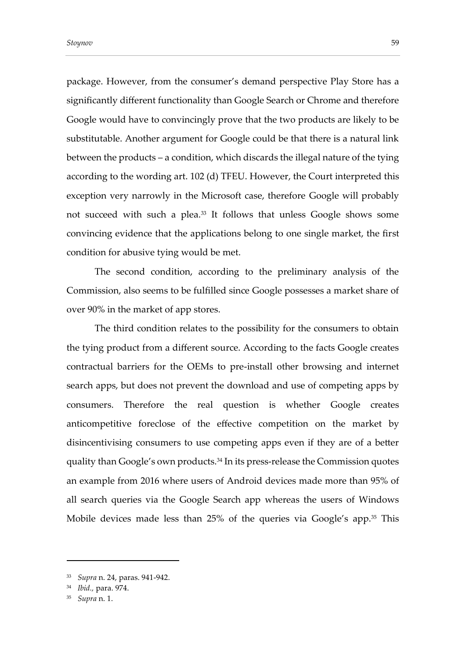package. However, from the consumer's demand perspective Play Store has a significantly different functionality than Google Search or Chrome and therefore Google would have to convincingly prove that the two products are likely to be substitutable. Another argument for Google could be that there is a natural link between the products – a condition, which discards the illegal nature of the tying according to the wording art. 102 (d) TFEU. However, the Court interpreted this exception very narrowly in the Microsoft case, therefore Google will probably not succeed with such a plea. <sup>33</sup> It follows that unless Google shows some convincing evidence that the applications belong to one single market, the first condition for abusive tying would be met.

The second condition, according to the preliminary analysis of the Commission, also seems to be fulfilled since Google possesses a market share of over 90% in the market of app stores.

The third condition relates to the possibility for the consumers to obtain the tying product from a different source. According to the facts Google creates contractual barriers for the OEMs to pre-install other browsing and internet search apps, but does not prevent the download and use of competing apps by consumers. Therefore the real question is whether Google creates anticompetitive foreclose of the effective competition on the market by disincentivising consumers to use competing apps even if they are of a better quality than Google's own products. <sup>34</sup> In its press-release the Commission quotes an example from 2016 where users of Android devices made more than 95% of all search queries via the Google Search app whereas the users of Windows Mobile devices made less than 25% of the queries via Google's app.<sup>35</sup> This

<sup>33</sup> *Supra* n. 24, paras. 941-942.

<sup>34</sup> *Ibid.,* para. 974.

<sup>35</sup> *Supra* n. 1.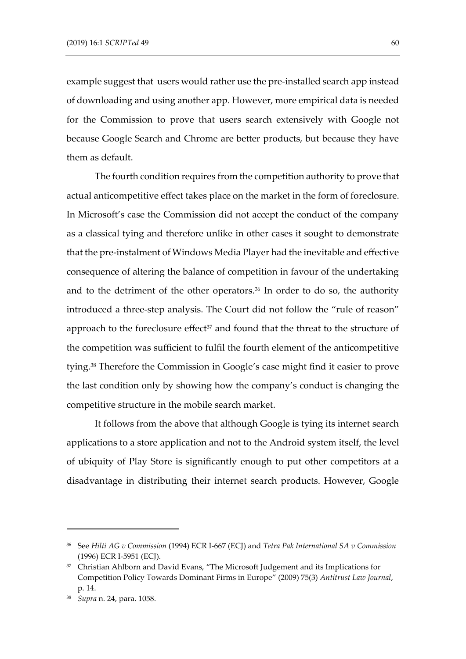example suggest that users would rather use the pre-installed search app instead of downloading and using another app. However, more empirical data is needed for the Commission to prove that users search extensively with Google not because Google Search and Chrome are better products, but because they have them as default.

The fourth condition requires from the competition authority to prove that actual anticompetitive effect takes place on the market in the form of foreclosure. In Microsoft's case the Commission did not accept the conduct of the company as a classical tying and therefore unlike in other cases it sought to demonstrate that the pre-instalment of Windows Media Player had the inevitable and effective consequence of altering the balance of competition in favour of the undertaking and to the detriment of the other operators. $36$  In order to do so, the authority introduced a three-step analysis. The Court did not follow the "rule of reason" approach to the foreclosure effect<sup>37</sup> and found that the threat to the structure of the competition was sufficient to fulfil the fourth element of the anticompetitive tying.<sup>38</sup> Therefore the Commission in Google's case might find it easier to prove the last condition only by showing how the company's conduct is changing the competitive structure in the mobile search market.

It follows from the above that although Google is tying its internet search applications to a store application and not to the Android system itself, the level of ubiquity of Play Store is significantly enough to put other competitors at a disadvantage in distributing their internet search products. However, Google

<sup>36</sup> See *Hilti AG v Commission* (1994) ECR I-667 (ECJ) and *Tetra Pak International SA v Commission* (1996) ECR I-5951 (ECJ).

<sup>&</sup>lt;sup>37</sup> Christian Ahlborn and David Evans, "The Microsoft Judgement and its Implications for Competition Policy Towards Dominant Firms in Europe" (2009) 75(3) *Antitrust Law Journal*, p. 14.

<sup>38</sup> *Supra* n. 24, para. 1058.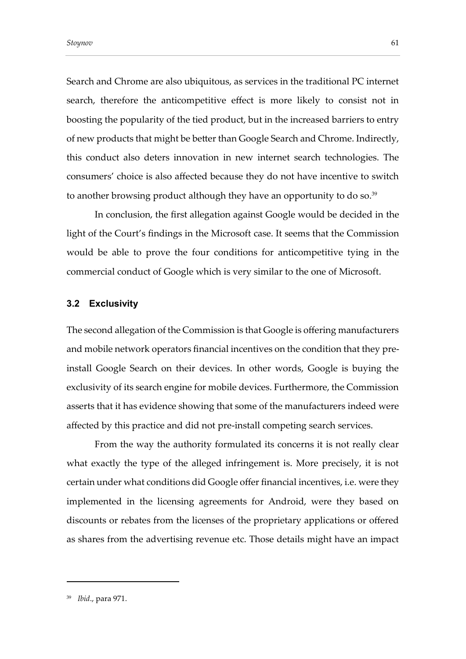Search and Chrome are also ubiquitous, as services in the traditional PC internet search, therefore the anticompetitive effect is more likely to consist not in boosting the popularity of the tied product, but in the increased barriers to entry of new products that might be better than Google Search and Chrome. Indirectly, this conduct also deters innovation in new internet search technologies. The consumers' choice is also affected because they do not have incentive to switch to another browsing product although they have an opportunity to do so.<sup>39</sup>

In conclusion, the first allegation against Google would be decided in the light of the Court's findings in the Microsoft case. It seems that the Commission would be able to prove the four conditions for anticompetitive tying in the commercial conduct of Google which is very similar to the one of Microsoft.

#### **3.2 Exclusivity**

The second allegation of the Commission is that Google is offering manufacturers and mobile network operators financial incentives on the condition that they preinstall Google Search on their devices. In other words, Google is buying the exclusivity of its search engine for mobile devices. Furthermore, the Commission asserts that it has evidence showing that some of the manufacturers indeed were affected by this practice and did not pre-install competing search services.

From the way the authority formulated its concerns it is not really clear what exactly the type of the alleged infringement is. More precisely, it is not certain under what conditions did Google offer financial incentives, i.e. were they implemented in the licensing agreements for Android, were they based on discounts or rebates from the licenses of the proprietary applications or offered as shares from the advertising revenue etc. Those details might have an impact

<sup>39</sup> *Ibid*., para 971.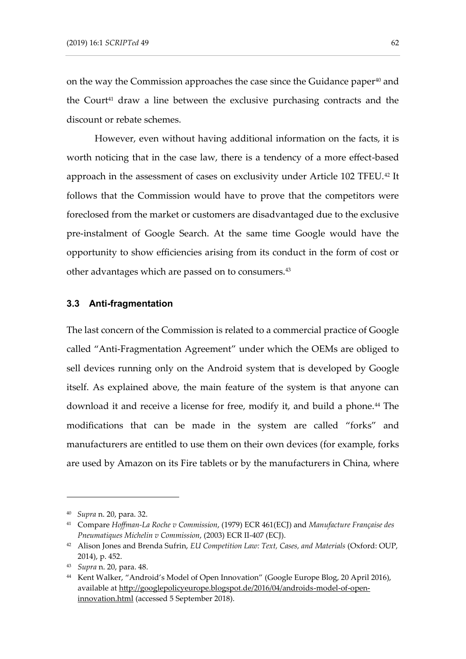on the way the Commission approaches the case since the Guidance paper<sup>40</sup> and the Court<sup>41</sup> draw a line between the exclusive purchasing contracts and the discount or rebate schemes.

However, even without having additional information on the facts, it is worth noticing that in the case law, there is a tendency of a more effect-based approach in the assessment of cases on exclusivity under Article 102 TFEU.<sup>42</sup> It follows that the Commission would have to prove that the competitors were foreclosed from the market or customers are disadvantaged due to the exclusive pre-instalment of Google Search. At the same time Google would have the opportunity to show efficiencies arising from its conduct in the form of cost or other advantages which are passed on to consumers.<sup>43</sup>

#### **3.3 Anti-fragmentation**

The last concern of the Commission is related to a commercial practice of Google called "Anti-Fragmentation Agreement" under which the OEMs are obliged to sell devices running only on the Android system that is developed by Google itself. As explained above, the main feature of the system is that anyone can download it and receive a license for free, modify it, and build a phone.<sup>44</sup> The modifications that can be made in the system are called "forks" and manufacturers are entitled to use them on their own devices (for example, forks are used by Amazon on its Fire tablets or by the manufacturers in China, where

<sup>40</sup> *Supra* n. 20, para. 32.

<sup>41</sup> Compare *Hoffman-La Roche v Commission*, (1979) ECR 461(ECJ) and *Manufacture Française des Pneumatiques Michelin v Commission*, (2003) ECR II-407 (ECJ).

<sup>&</sup>lt;sup>42</sup> Alison Jones and Brenda Sufrin, *EU Competition Law: Text, Cases, and Materials* (Oxford: OUP, 2014), p. 452.

<sup>43</sup> *Supra* n. 20, para. 48.

<sup>44</sup> Kent Walker, "Android's Model of Open Innovation" (Google Europe Blog, 20 April 2016), available at [http://googlepolicyeurope.blogspot.de/2016/04/androids-model-of-open](http://googlepolicyeurope.blogspot.de/2016/04/androids-model-of-open-innovation.html)[innovation.html](http://googlepolicyeurope.blogspot.de/2016/04/androids-model-of-open-innovation.html) (accessed 5 September 2018).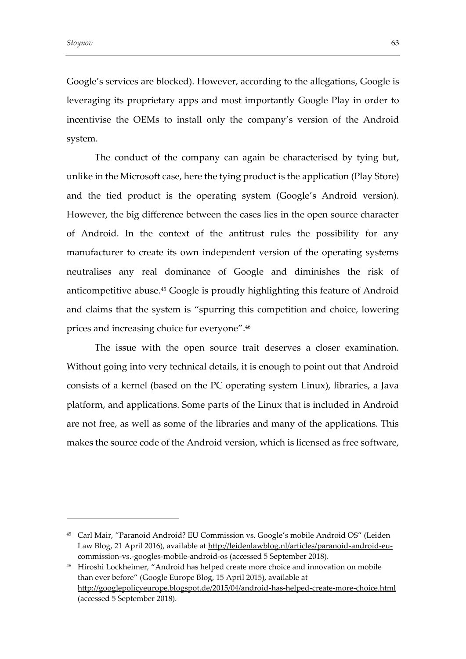Google's services are blocked). However, according to the allegations, Google is leveraging its proprietary apps and most importantly Google Play in order to incentivise the OEMs to install only the company's version of the Android system.

The conduct of the company can again be characterised by tying but, unlike in the Microsoft case, here the tying product is the application (Play Store) and the tied product is the operating system (Google's Android version). However, the big difference between the cases lies in the open source character of Android. In the context of the antitrust rules the possibility for any manufacturer to create its own independent version of the operating systems neutralises any real dominance of Google and diminishes the risk of anticompetitive abuse.<sup>45</sup> Google is proudly highlighting this feature of Android and claims that the system is "spurring this competition and choice, lowering prices and increasing choice for everyone".<sup>46</sup>

The issue with the open source trait deserves a closer examination. Without going into very technical details, it is enough to point out that Android consists of a kernel (based on the PC operating system Linux), libraries, a Java platform, and applications. Some parts of the Linux that is included in Android are not free, as well as some of the libraries and many of the applications. This makes the source code of the Android version, which is licensed as free software,

<sup>45</sup> Carl Mair, "Paranoid Android? EU Commission vs. Google's mobile Android OS" (Leiden Law Blog, 21 April 2016), available at [http://leidenlawblog.nl/articles/paranoid-android-eu](http://leidenlawblog.nl/articles/paranoid-android-eu-commission-vs.-googles-mobile-android-os)[commission-vs.-googles-mobile-android-os](http://leidenlawblog.nl/articles/paranoid-android-eu-commission-vs.-googles-mobile-android-os) (accessed 5 September 2018).

<sup>46</sup> Hiroshi Lockheimer, "Android has helped create more choice and innovation on mobile than ever before" (Google Europe Blog, 15 April 2015), available at <http://googlepolicyeurope.blogspot.de/2015/04/android-has-helped-create-more-choice.html> (accessed 5 September 2018).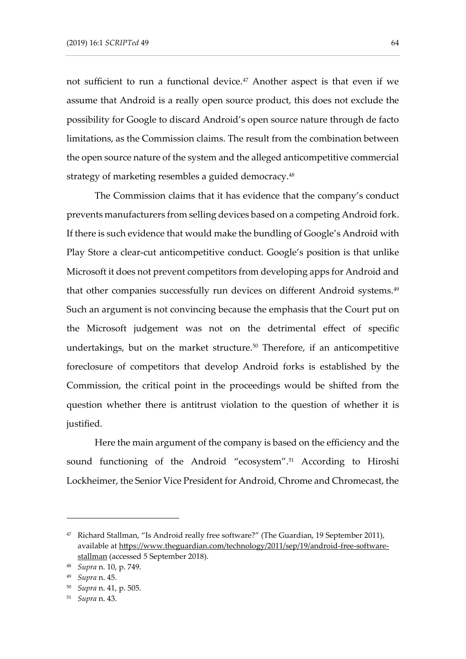not sufficient to run a functional device.<sup>47</sup> Another aspect is that even if we assume that Android is a really open source product, this does not exclude the possibility for Google to discard Android's open source nature through de facto limitations, as the Commission claims. The result from the combination between the open source nature of the system and the alleged anticompetitive commercial strategy of marketing resembles a guided democracy.<sup>48</sup>

The Commission claims that it has evidence that the company's conduct prevents manufacturers from selling devices based on a competing Android fork. If there is such evidence that would make the bundling of Google's Android with Play Store a clear-cut anticompetitive conduct. Google's position is that unlike Microsoft it does not prevent competitors from developing apps for Android and that other companies successfully run devices on different Android systems.<sup>49</sup> Such an argument is not convincing because the emphasis that the Court put on the Microsoft judgement was not on the detrimental effect of specific undertakings, but on the market structure.<sup>50</sup> Therefore, if an anticompetitive foreclosure of competitors that develop Android forks is established by the Commission, the critical point in the proceedings would be shifted from the question whether there is antitrust violation to the question of whether it is justified.

Here the main argument of the company is based on the efficiency and the sound functioning of the Android "ecosystem".<sup>51</sup> According to Hiroshi Lockheimer, the Senior Vice President for Android, Chrome and Chromecast, the

<sup>47</sup> Richard Stallman, "Is Android really free software?" (The Guardian, 19 September 2011), available at [https://www.theguardian.com/technology/2011/sep/19/android-free-software](https://www.theguardian.com/technology/2011/sep/19/android-free-software-stallman)[stallman](https://www.theguardian.com/technology/2011/sep/19/android-free-software-stallman) (accessed 5 September 2018).

<sup>48</sup> *Supra* n. 10, p. 749.

<sup>49</sup> *Supra* n. 45.

<sup>50</sup> *Supra* n. 41, p. 505.

<sup>51</sup> *Supra* n. 43.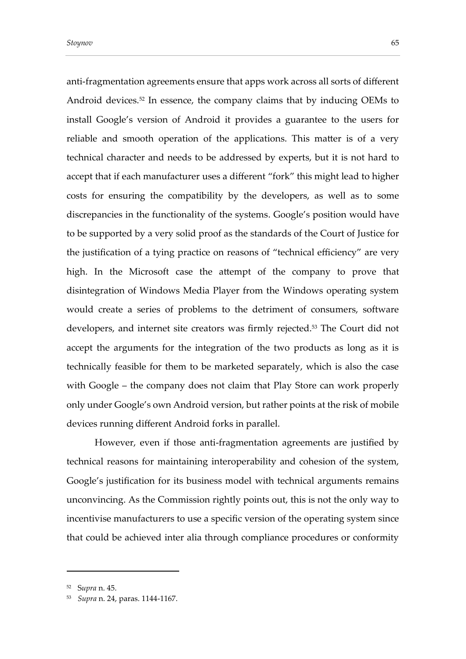anti-fragmentation agreements ensure that apps work across all sorts of different Android devices.<sup>52</sup> In essence, the company claims that by inducing OEMs to install Google's version of Android it provides a guarantee to the users for reliable and smooth operation of the applications. This matter is of a very technical character and needs to be addressed by experts, but it is not hard to accept that if each manufacturer uses a different "fork" this might lead to higher costs for ensuring the compatibility by the developers, as well as to some discrepancies in the functionality of the systems. Google's position would have to be supported by a very solid proof as the standards of the Court of Justice for the justification of a tying practice on reasons of "technical efficiency" are very high. In the Microsoft case the attempt of the company to prove that disintegration of Windows Media Player from the Windows operating system would create a series of problems to the detriment of consumers, software developers, and internet site creators was firmly rejected. <sup>53</sup> The Court did not accept the arguments for the integration of the two products as long as it is technically feasible for them to be marketed separately, which is also the case with Google – the company does not claim that Play Store can work properly only under Google's own Android version, but rather points at the risk of mobile devices running different Android forks in parallel.

However, even if those anti-fragmentation agreements are justified by technical reasons for maintaining interoperability and cohesion of the system, Google's justification for its business model with technical arguments remains unconvincing. As the Commission rightly points out, this is not the only way to incentivise manufacturers to use a specific version of the operating system since that could be achieved inter alia through compliance procedures or conformity

<sup>52</sup> S*upra* n. 45.

<sup>53</sup> *Supra* n. 24, paras. 1144-1167.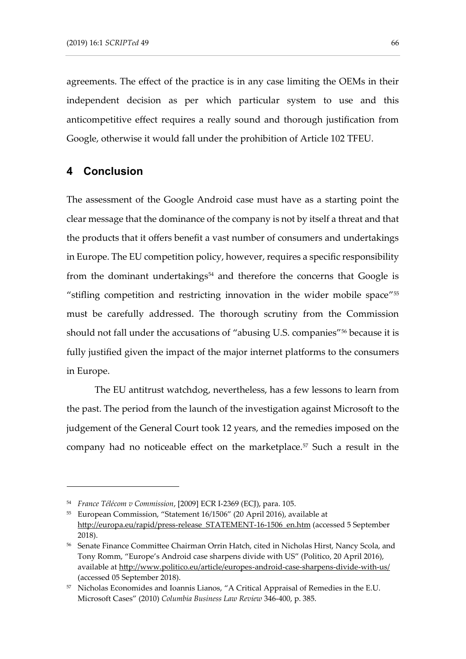agreements. The effect of the practice is in any case limiting the OEMs in their independent decision as per which particular system to use and this anticompetitive effect requires a really sound and thorough justification from Google, otherwise it would fall under the prohibition of Article 102 TFEU.

## **4 Conclusion**

-

The assessment of the Google Android case must have as a starting point the clear message that the dominance of the company is not by itself a threat and that the products that it offers benefit a vast number of consumers and undertakings in Europe. The EU competition policy, however, requires a specific responsibility from the dominant undertakings<sup>54</sup> and therefore the concerns that Google is "stifling competition and restricting innovation in the wider mobile space" $^{55}$ must be carefully addressed. The thorough scrutiny from the Commission should not fall under the accusations of "abusing U.S. companies" <sup>56</sup> because it is fully justified given the impact of the major internet platforms to the consumers in Europe.

The EU antitrust watchdog, nevertheless, has a few lessons to learn from the past. The period from the launch of the investigation against Microsoft to the judgement of the General Court took 12 years, and the remedies imposed on the company had no noticeable effect on the marketplace.<sup>57</sup> Such a result in the

<sup>54</sup> *France Télécom v Commission*, [2009] ECR I-2369 (ECJ), para. 105.

<sup>55</sup> European Commission, "Statement 16/1506" (20 April 2016), available at [http://europa.eu/rapid/press-release\\_STATEMENT-16-1506\\_en.htm](http://europa.eu/rapid/press-release_STATEMENT-16-1506_en.htm) (accessed 5 September 2018).

<sup>56</sup> Senate Finance Committee Chairman Orrin Hatch, cited in Nicholas Hirst, Nancy Scola, and Tony Romm, "Europe's Android case sharpens divide with US" (Politico, 20 April 2016), available at<http://www.politico.eu/article/europes-android-case-sharpens-divide-with-us/> (accessed 05 September 2018).

<sup>57</sup> Nicholas Economides and Ioannis Lianos, "A Critical Appraisal of Remedies in the E.U. Microsoft Cases" (2010) *Columbia Business Law Review* 346-400, p. 385.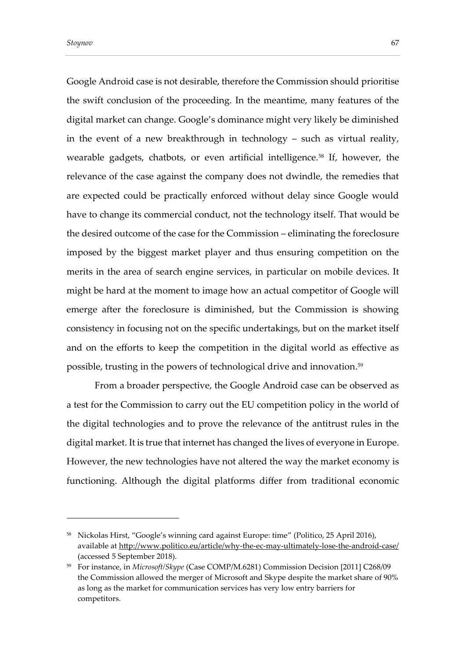Google Android case is not desirable, therefore the Commission should prioritise the swift conclusion of the proceeding. In the meantime, many features of the digital market can change. Google's dominance might very likely be diminished in the event of a new breakthrough in technology – such as virtual reality, wearable gadgets, chatbots, or even artificial intelligence.<sup>58</sup> If, however, the relevance of the case against the company does not dwindle, the remedies that are expected could be practically enforced without delay since Google would have to change its commercial conduct, not the technology itself. That would be the desired outcome of the case for the Commission – eliminating the foreclosure imposed by the biggest market player and thus ensuring competition on the merits in the area of search engine services, in particular on mobile devices. It might be hard at the moment to image how an actual competitor of Google will emerge after the foreclosure is diminished, but the Commission is showing consistency in focusing not on the specific undertakings, but on the market itself and on the efforts to keep the competition in the digital world as effective as possible, trusting in the powers of technological drive and innovation. 59

From a broader perspective, the Google Android case can be observed as a test for the Commission to carry out the EU competition policy in the world of the digital technologies and to prove the relevance of the antitrust rules in the digital market. It is true that internet has changed the lives of everyone in Europe. However, the new technologies have not altered the way the market economy is functioning. Although the digital platforms differ from traditional economic

<sup>58</sup> Nickolas Hirst, "Google's winning card against Europe: time" (Politico, 25 April 2016), available at<http://www.politico.eu/article/why-the-ec-may-ultimately-lose-the-android-case/> (accessed 5 September 2018).

<sup>59</sup> For instance, in *Microsoft/Skype* (Case COMP/M.6281) Commission Decision [2011] C268/09 the Commission allowed the merger of Microsoft and Skype despite the market share of 90% as long as the market for communication services has very low entry barriers for competitors.